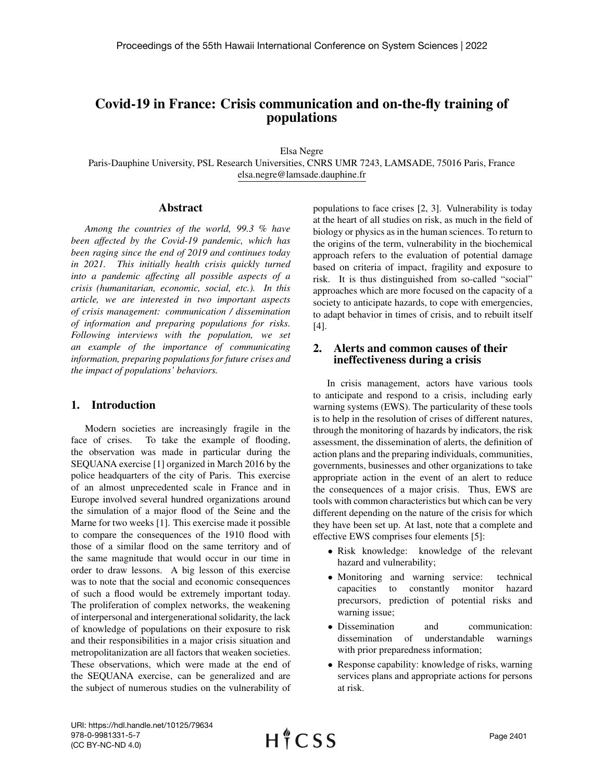# Covid-19 in France: Crisis communication and on-the-fly training of populations

Elsa Negre

Paris-Dauphine University, PSL Research Universities, CNRS UMR 7243, LAMSADE, 75016 Paris, France elsa.negre@lamsade.dauphine.fr

 $H \nmid C$  SS

#### Abstract

*Among the countries of the world, 99.3 % have been affected by the Covid-19 pandemic, which has been raging since the end of 2019 and continues today in 2021. This initially health crisis quickly turned into a pandemic affecting all possible aspects of a crisis (humanitarian, economic, social, etc.). In this article, we are interested in two important aspects of crisis management: communication / dissemination of information and preparing populations for risks. Following interviews with the population, we set an example of the importance of communicating information, preparing populations for future crises and the impact of populations' behaviors.*

#### 1. Introduction

Modern societies are increasingly fragile in the face of crises. To take the example of flooding, the observation was made in particular during the SEQUANA exercise [1] organized in March 2016 by the police headquarters of the city of Paris. This exercise of an almost unprecedented scale in France and in Europe involved several hundred organizations around the simulation of a major flood of the Seine and the Marne for two weeks [1]. This exercise made it possible to compare the consequences of the 1910 flood with those of a similar flood on the same territory and of the same magnitude that would occur in our time in order to draw lessons. A big lesson of this exercise was to note that the social and economic consequences of such a flood would be extremely important today. The proliferation of complex networks, the weakening of interpersonal and intergenerational solidarity, the lack of knowledge of populations on their exposure to risk and their responsibilities in a major crisis situation and metropolitanization are all factors that weaken societies. These observations, which were made at the end of the SEQUANA exercise, can be generalized and are the subject of numerous studies on the vulnerability of populations to face crises [2, 3]. Vulnerability is today at the heart of all studies on risk, as much in the field of biology or physics as in the human sciences. To return to the origins of the term, vulnerability in the biochemical approach refers to the evaluation of potential damage based on criteria of impact, fragility and exposure to risk. It is thus distinguished from so-called "social" approaches which are more focused on the capacity of a society to anticipate hazards, to cope with emergencies, to adapt behavior in times of crisis, and to rebuilt itself [4].

### 2. Alerts and common causes of their ineffectiveness during a crisis

In crisis management, actors have various tools to anticipate and respond to a crisis, including early warning systems (EWS). The particularity of these tools is to help in the resolution of crises of different natures, through the monitoring of hazards by indicators, the risk assessment, the dissemination of alerts, the definition of action plans and the preparing individuals, communities, governments, businesses and other organizations to take appropriate action in the event of an alert to reduce the consequences of a major crisis. Thus, EWS are tools with common characteristics but which can be very different depending on the nature of the crisis for which they have been set up. At last, note that a complete and effective EWS comprises four elements [5]:

- Risk knowledge: knowledge of the relevant hazard and vulnerability;
- Monitoring and warning service: technical capacities to constantly monitor hazard precursors, prediction of potential risks and warning issue;
- Dissemination and communication: dissemination of understandable warnings with prior preparedness information;
- Response capability: knowledge of risks, warning services plans and appropriate actions for persons at risk.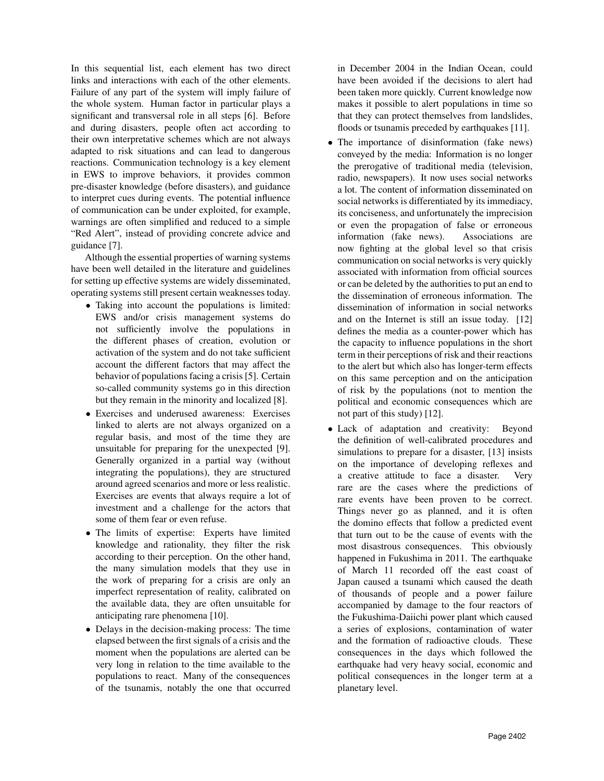In this sequential list, each element has two direct links and interactions with each of the other elements. Failure of any part of the system will imply failure of the whole system. Human factor in particular plays a significant and transversal role in all steps [6]. Before and during disasters, people often act according to their own interpretative schemes which are not always adapted to risk situations and can lead to dangerous reactions. Communication technology is a key element in EWS to improve behaviors, it provides common pre-disaster knowledge (before disasters), and guidance to interpret cues during events. The potential influence of communication can be under exploited, for example, warnings are often simplified and reduced to a simple "Red Alert", instead of providing concrete advice and guidance [7].

Although the essential properties of warning systems have been well detailed in the literature and guidelines for setting up effective systems are widely disseminated, operating systems still present certain weaknesses today.

- Taking into account the populations is limited: EWS and/or crisis management systems do not sufficiently involve the populations in the different phases of creation, evolution or activation of the system and do not take sufficient account the different factors that may affect the behavior of populations facing a crisis [5]. Certain so-called community systems go in this direction but they remain in the minority and localized [8].
- Exercises and underused awareness: Exercises linked to alerts are not always organized on a regular basis, and most of the time they are unsuitable for preparing for the unexpected [9]. Generally organized in a partial way (without integrating the populations), they are structured around agreed scenarios and more or less realistic. Exercises are events that always require a lot of investment and a challenge for the actors that some of them fear or even refuse.
- The limits of expertise: Experts have limited knowledge and rationality, they filter the risk according to their perception. On the other hand, the many simulation models that they use in the work of preparing for a crisis are only an imperfect representation of reality, calibrated on the available data, they are often unsuitable for anticipating rare phenomena [10].
- Delays in the decision-making process: The time elapsed between the first signals of a crisis and the moment when the populations are alerted can be very long in relation to the time available to the populations to react. Many of the consequences of the tsunamis, notably the one that occurred

in December 2004 in the Indian Ocean, could have been avoided if the decisions to alert had been taken more quickly. Current knowledge now makes it possible to alert populations in time so that they can protect themselves from landslides, floods or tsunamis preceded by earthquakes [11].

- The importance of disinformation (fake news) conveyed by the media: Information is no longer the prerogative of traditional media (television, radio, newspapers). It now uses social networks a lot. The content of information disseminated on social networks is differentiated by its immediacy, its conciseness, and unfortunately the imprecision or even the propagation of false or erroneous information (fake news). Associations are now fighting at the global level so that crisis communication on social networks is very quickly associated with information from official sources or can be deleted by the authorities to put an end to the dissemination of erroneous information. The dissemination of information in social networks and on the Internet is still an issue today. [12] defines the media as a counter-power which has the capacity to influence populations in the short term in their perceptions of risk and their reactions to the alert but which also has longer-term effects on this same perception and on the anticipation of risk by the populations (not to mention the political and economic consequences which are not part of this study) [12].
- Lack of adaptation and creativity: Beyond the definition of well-calibrated procedures and simulations to prepare for a disaster, [13] insists on the importance of developing reflexes and a creative attitude to face a disaster. Very rare are the cases where the predictions of rare events have been proven to be correct. Things never go as planned, and it is often the domino effects that follow a predicted event that turn out to be the cause of events with the most disastrous consequences. This obviously happened in Fukushima in 2011. The earthquake of March 11 recorded off the east coast of Japan caused a tsunami which caused the death of thousands of people and a power failure accompanied by damage to the four reactors of the Fukushima-Daiichi power plant which caused a series of explosions, contamination of water and the formation of radioactive clouds. These consequences in the days which followed the earthquake had very heavy social, economic and political consequences in the longer term at a planetary level.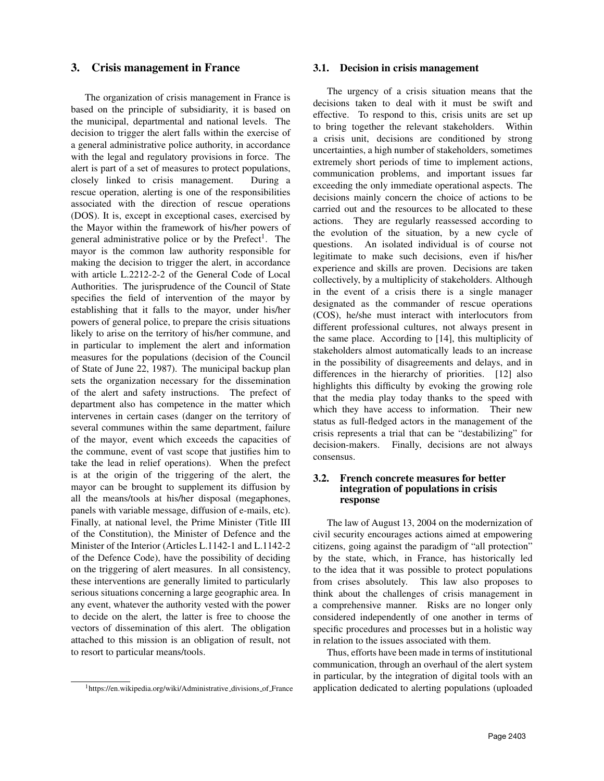### 3. Crisis management in France

The organization of crisis management in France is based on the principle of subsidiarity, it is based on the municipal, departmental and national levels. The decision to trigger the alert falls within the exercise of a general administrative police authority, in accordance with the legal and regulatory provisions in force. The alert is part of a set of measures to protect populations, closely linked to crisis management. During a rescue operation, alerting is one of the responsibilities associated with the direction of rescue operations (DOS). It is, except in exceptional cases, exercised by the Mayor within the framework of his/her powers of general administrative police or by the Prefect<sup>1</sup>. The mayor is the common law authority responsible for making the decision to trigger the alert, in accordance with article L.2212-2-2 of the General Code of Local Authorities. The jurisprudence of the Council of State specifies the field of intervention of the mayor by establishing that it falls to the mayor, under his/her powers of general police, to prepare the crisis situations likely to arise on the territory of his/her commune, and in particular to implement the alert and information measures for the populations (decision of the Council of State of June 22, 1987). The municipal backup plan sets the organization necessary for the dissemination of the alert and safety instructions. The prefect of department also has competence in the matter which intervenes in certain cases (danger on the territory of several communes within the same department, failure of the mayor, event which exceeds the capacities of the commune, event of vast scope that justifies him to take the lead in relief operations). When the prefect is at the origin of the triggering of the alert, the mayor can be brought to supplement its diffusion by all the means/tools at his/her disposal (megaphones, panels with variable message, diffusion of e-mails, etc). Finally, at national level, the Prime Minister (Title III of the Constitution), the Minister of Defence and the Minister of the Interior (Articles L.1142-1 and L.1142-2 of the Defence Code), have the possibility of deciding on the triggering of alert measures. In all consistency, these interventions are generally limited to particularly serious situations concerning a large geographic area. In any event, whatever the authority vested with the power to decide on the alert, the latter is free to choose the vectors of dissemination of this alert. The obligation attached to this mission is an obligation of result, not to resort to particular means/tools.

#### 3.1. Decision in crisis management

The urgency of a crisis situation means that the decisions taken to deal with it must be swift and effective. To respond to this, crisis units are set up to bring together the relevant stakeholders. Within a crisis unit, decisions are conditioned by strong uncertainties, a high number of stakeholders, sometimes extremely short periods of time to implement actions, communication problems, and important issues far exceeding the only immediate operational aspects. The decisions mainly concern the choice of actions to be carried out and the resources to be allocated to these actions. They are regularly reassessed according to the evolution of the situation, by a new cycle of questions. An isolated individual is of course not legitimate to make such decisions, even if his/her experience and skills are proven. Decisions are taken collectively, by a multiplicity of stakeholders. Although in the event of a crisis there is a single manager designated as the commander of rescue operations (COS), he/she must interact with interlocutors from different professional cultures, not always present in the same place. According to [14], this multiplicity of stakeholders almost automatically leads to an increase in the possibility of disagreements and delays, and in differences in the hierarchy of priorities. [12] also highlights this difficulty by evoking the growing role that the media play today thanks to the speed with which they have access to information. Their new status as full-fledged actors in the management of the crisis represents a trial that can be "destabilizing" for decision-makers. Finally, decisions are not always consensus.

### 3.2. French concrete measures for better integration of populations in crisis response

The law of August 13, 2004 on the modernization of civil security encourages actions aimed at empowering citizens, going against the paradigm of "all protection" by the state, which, in France, has historically led to the idea that it was possible to protect populations from crises absolutely. This law also proposes to think about the challenges of crisis management in a comprehensive manner. Risks are no longer only considered independently of one another in terms of specific procedures and processes but in a holistic way in relation to the issues associated with them.

Thus, efforts have been made in terms of institutional communication, through an overhaul of the alert system in particular, by the integration of digital tools with an application dedicated to alerting populations (uploaded

<sup>&</sup>lt;sup>1</sup>https://en.wikipedia.org/wiki/Administrative\_divisions\_of\_France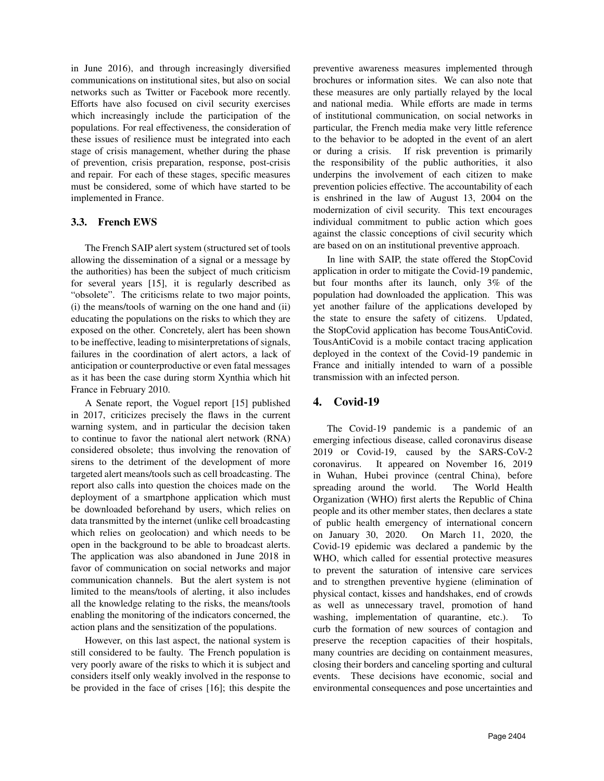in June 2016), and through increasingly diversified communications on institutional sites, but also on social networks such as Twitter or Facebook more recently. Efforts have also focused on civil security exercises which increasingly include the participation of the populations. For real effectiveness, the consideration of these issues of resilience must be integrated into each stage of crisis management, whether during the phase of prevention, crisis preparation, response, post-crisis and repair. For each of these stages, specific measures must be considered, some of which have started to be implemented in France.

### 3.3. French EWS

The French SAIP alert system (structured set of tools allowing the dissemination of a signal or a message by the authorities) has been the subject of much criticism for several years [15], it is regularly described as "obsolete". The criticisms relate to two major points, (i) the means/tools of warning on the one hand and (ii) educating the populations on the risks to which they are exposed on the other. Concretely, alert has been shown to be ineffective, leading to misinterpretations of signals, failures in the coordination of alert actors, a lack of anticipation or counterproductive or even fatal messages as it has been the case during storm Xynthia which hit France in February 2010.

A Senate report, the Voguel report [15] published in 2017, criticizes precisely the flaws in the current warning system, and in particular the decision taken to continue to favor the national alert network (RNA) considered obsolete; thus involving the renovation of sirens to the detriment of the development of more targeted alert means/tools such as cell broadcasting. The report also calls into question the choices made on the deployment of a smartphone application which must be downloaded beforehand by users, which relies on data transmitted by the internet (unlike cell broadcasting which relies on geolocation) and which needs to be open in the background to be able to broadcast alerts. The application was also abandoned in June 2018 in favor of communication on social networks and major communication channels. But the alert system is not limited to the means/tools of alerting, it also includes all the knowledge relating to the risks, the means/tools enabling the monitoring of the indicators concerned, the action plans and the sensitization of the populations.

However, on this last aspect, the national system is still considered to be faulty. The French population is very poorly aware of the risks to which it is subject and considers itself only weakly involved in the response to be provided in the face of crises [16]; this despite the

preventive awareness measures implemented through brochures or information sites. We can also note that these measures are only partially relayed by the local and national media. While efforts are made in terms of institutional communication, on social networks in particular, the French media make very little reference to the behavior to be adopted in the event of an alert or during a crisis. If risk prevention is primarily the responsibility of the public authorities, it also underpins the involvement of each citizen to make prevention policies effective. The accountability of each is enshrined in the law of August 13, 2004 on the modernization of civil security. This text encourages individual commitment to public action which goes against the classic conceptions of civil security which are based on on an institutional preventive approach.

In line with SAIP, the state offered the StopCovid application in order to mitigate the Covid-19 pandemic, but four months after its launch, only 3% of the population had downloaded the application. This was yet another failure of the applications developed by the state to ensure the safety of citizens. Updated, the StopCovid application has become TousAntiCovid. TousAntiCovid is a mobile contact tracing application deployed in the context of the Covid-19 pandemic in France and initially intended to warn of a possible transmission with an infected person.

## 4. Covid-19

The Covid-19 pandemic is a pandemic of an emerging infectious disease, called coronavirus disease 2019 or Covid-19, caused by the SARS-CoV-2 coronavirus. It appeared on November 16, 2019 in Wuhan, Hubei province (central China), before spreading around the world. The World Health Organization (WHO) first alerts the Republic of China people and its other member states, then declares a state of public health emergency of international concern on January 30, 2020. On March 11, 2020, the Covid-19 epidemic was declared a pandemic by the WHO, which called for essential protective measures to prevent the saturation of intensive care services and to strengthen preventive hygiene (elimination of physical contact, kisses and handshakes, end of crowds as well as unnecessary travel, promotion of hand washing, implementation of quarantine, etc.). curb the formation of new sources of contagion and preserve the reception capacities of their hospitals, many countries are deciding on containment measures, closing their borders and canceling sporting and cultural events. These decisions have economic, social and environmental consequences and pose uncertainties and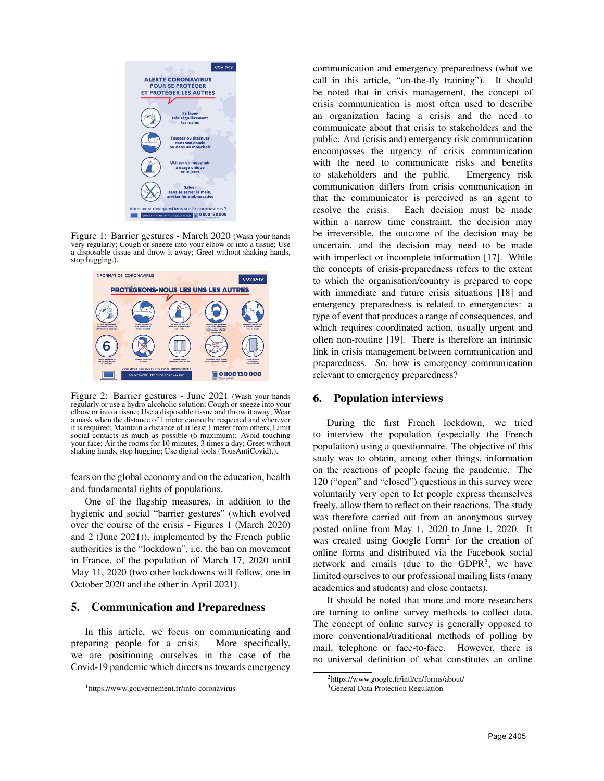

Figure 1: Barrier gestures - March 2020 (Wash your hands very regularly; Cough or sneeze into your elbow or into a tissue; Use a disposable tissue and throw it away; Greet without shaking hands, stop hugging.).



Figure 2: Barrier gestures - June 2021 (Wash your hands regularly or use a hydro-alcoholic solution; Cough or sneeze into your elbow or into a tissue; Use a disposable tissue and throw it away; Wear a mask when the distance of 1 meter cannot be respected and wherever it is required; Maintain a distance of at least 1 meter from others; Limit social contacts as much as possible (6 maximum); Avoid touching your face; Air the rooms for 10 minutes, 3 times a day; Greet without shaking hands, stop hugging; Use digital tools (TousAntiCovid).).

fears on the global economy and on the education, health and fundamental rights of populations.

One of the flagship measures, in addition to the hygienic and social "barrier gestures" (which evolved over the course of the crisis - Figures 1 (March 2020) and 2 (June 2021)), implemented by the French public authorities is the "lockdown", i.e. the ban on movement in France, of the population of March 17, 2020 until May 11, 2020 (two other lockdowns will follow, one in October 2020 and the other in April 2021).

## 5. Communication and Preparedness

In this article, we focus on communicating and preparing people for a crisis. More specifically, we are positioning ourselves in the case of the Covid-19 pandemic which directs us towards emergency communication and emergency preparedness (what we call in this article, "on-the-fly training"). It should be noted that in crisis management, the concept of crisis communication is most often used to describe an organization facing a crisis and the need to communicate about that crisis to stakeholders and the public. And (crisis and) emergency risk communication encompasses the urgency of crisis communication with the need to communicate risks and benefits to stakeholders and the public. Emergency risk communication differs from crisis communication in that the communicator is perceived as an agent to resolve the crisis. Each decision must be made within a narrow time constraint, the decision may be irreversible, the outcome of the decision may be uncertain, and the decision may need to be made with imperfect or incomplete information [17]. While the concepts of crisis-preparedness refers to the extent to which the organisation/country is prepared to cope with immediate and future crisis situations [18] and emergency preparedness is related to emergencies: a type of event that produces a range of consequences, and which requires coordinated action, usually urgent and often non-routine [19]. There is therefore an intrinsic link in crisis management between communication and preparedness. So, how is emergency communication relevant to emergency preparedness?

#### 6. Population interviews

During the first French lockdown, we tried to interview the population (especially the French population) using a questionnaire. The objective of this study was to obtain, among other things, information on the reactions of people facing the pandemic. The 120 ("open" and "closed") questions in this survey were voluntarily very open to let people express themselves freely, allow them to reflect on their reactions. The study was therefore carried out from an anonymous survey posted online from May 1, 2020 to June 1, 2020. It was created using Google Form<sup>2</sup> for the creation of online forms and distributed via the Facebook social network and emails (due to the GDPR<sup>3</sup>, we have limited ourselves to our professional mailing lists (many academics and students) and close contacts).

It should be noted that more and more researchers are turning to online survey methods to collect data. The concept of online survey is generally opposed to more conventional/traditional methods of polling by mail, telephone or face-to-face. However, there is no universal definition of what constitutes an online

<sup>1</sup>https://www.gouvernement.fr/info-coronavirus

<sup>2</sup>https://www.google.fr/intl/en/forms/about/

<sup>&</sup>lt;sup>3</sup>General Data Protection Regulation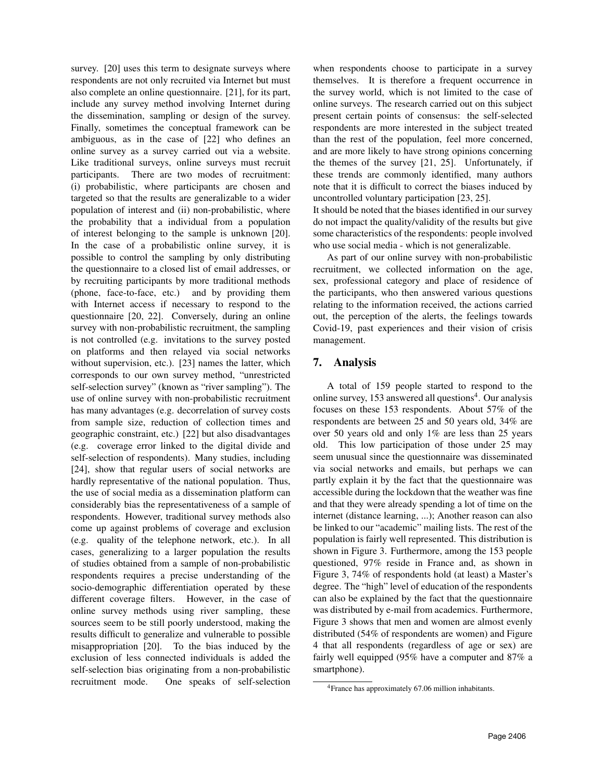survey. [20] uses this term to designate surveys where respondents are not only recruited via Internet but must also complete an online questionnaire. [21], for its part, include any survey method involving Internet during the dissemination, sampling or design of the survey. Finally, sometimes the conceptual framework can be ambiguous, as in the case of [22] who defines an online survey as a survey carried out via a website. Like traditional surveys, online surveys must recruit participants. There are two modes of recruitment: (i) probabilistic, where participants are chosen and targeted so that the results are generalizable to a wider population of interest and (ii) non-probabilistic, where the probability that a individual from a population of interest belonging to the sample is unknown [20]. In the case of a probabilistic online survey, it is possible to control the sampling by only distributing the questionnaire to a closed list of email addresses, or by recruiting participants by more traditional methods (phone, face-to-face, etc.) and by providing them with Internet access if necessary to respond to the questionnaire [20, 22]. Conversely, during an online survey with non-probabilistic recruitment, the sampling is not controlled (e.g. invitations to the survey posted on platforms and then relayed via social networks without supervision, etc.). [23] names the latter, which corresponds to our own survey method, "unrestricted self-selection survey" (known as "river sampling"). The use of online survey with non-probabilistic recruitment has many advantages (e.g. decorrelation of survey costs from sample size, reduction of collection times and geographic constraint, etc.) [22] but also disadvantages (e.g. coverage error linked to the digital divide and self-selection of respondents). Many studies, including [24], show that regular users of social networks are hardly representative of the national population. Thus, the use of social media as a dissemination platform can considerably bias the representativeness of a sample of respondents. However, traditional survey methods also come up against problems of coverage and exclusion (e.g. quality of the telephone network, etc.). In all cases, generalizing to a larger population the results of studies obtained from a sample of non-probabilistic respondents requires a precise understanding of the socio-demographic differentiation operated by these different coverage filters. However, in the case of online survey methods using river sampling, these sources seem to be still poorly understood, making the results difficult to generalize and vulnerable to possible misappropriation [20]. To the bias induced by the exclusion of less connected individuals is added the self-selection bias originating from a non-probabilistic recruitment mode. One speaks of self-selection

when respondents choose to participate in a survey themselves. It is therefore a frequent occurrence in the survey world, which is not limited to the case of online surveys. The research carried out on this subject present certain points of consensus: the self-selected respondents are more interested in the subject treated than the rest of the population, feel more concerned, and are more likely to have strong opinions concerning the themes of the survey [21, 25]. Unfortunately, if these trends are commonly identified, many authors note that it is difficult to correct the biases induced by uncontrolled voluntary participation [23, 25]. It should be noted that the biases identified in our survey

do not impact the quality/validity of the results but give some characteristics of the respondents: people involved who use social media - which is not generalizable.

As part of our online survey with non-probabilistic recruitment, we collected information on the age, sex, professional category and place of residence of the participants, who then answered various questions relating to the information received, the actions carried out, the perception of the alerts, the feelings towards Covid-19, past experiences and their vision of crisis management.

# 7. Analysis

A total of 159 people started to respond to the online survey, 153 answered all questions<sup>4</sup>. Our analysis focuses on these 153 respondents. About 57% of the respondents are between 25 and 50 years old, 34% are over 50 years old and only 1% are less than 25 years old. This low participation of those under 25 may seem unusual since the questionnaire was disseminated via social networks and emails, but perhaps we can partly explain it by the fact that the questionnaire was accessible during the lockdown that the weather was fine and that they were already spending a lot of time on the internet (distance learning, ...); Another reason can also be linked to our "academic" mailing lists. The rest of the population is fairly well represented. This distribution is shown in Figure 3. Furthermore, among the 153 people questioned, 97% reside in France and, as shown in Figure 3, 74% of respondents hold (at least) a Master's degree. The "high" level of education of the respondents can also be explained by the fact that the questionnaire was distributed by e-mail from academics. Furthermore, Figure 3 shows that men and women are almost evenly distributed (54% of respondents are women) and Figure 4 that all respondents (regardless of age or sex) are fairly well equipped (95% have a computer and 87% a smartphone).

<sup>4</sup>France has approximately 67.06 million inhabitants.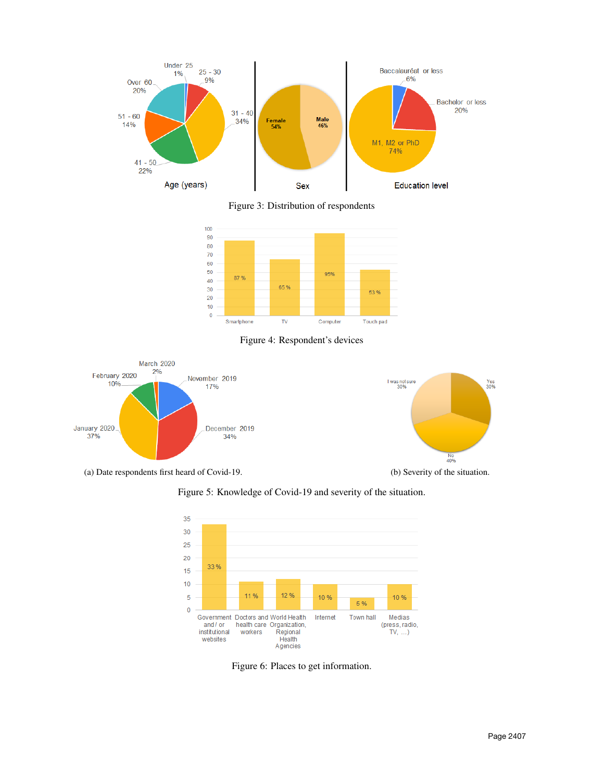

Figure 3: Distribution of respondents



Figure 4: Respondent's devices



Figure 5: Knowledge of Covid-19 and severity of the situation.



Figure 6: Places to get information.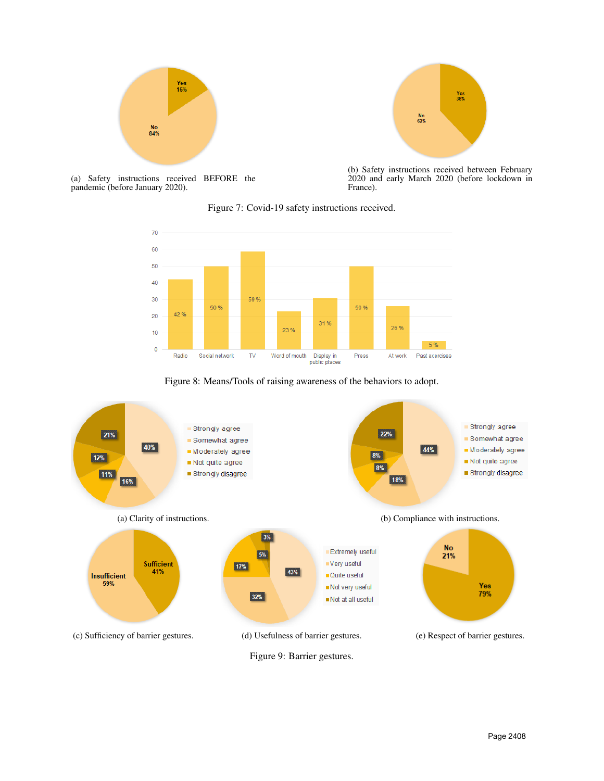



(a) Safety instructions received BEFORE the pandemic (before January 2020).

(b) Safety instructions received between February 2020 and early March 2020 (before lockdown in France).





Figure 8: Means/Tools of raising awareness of the behaviors to adopt.

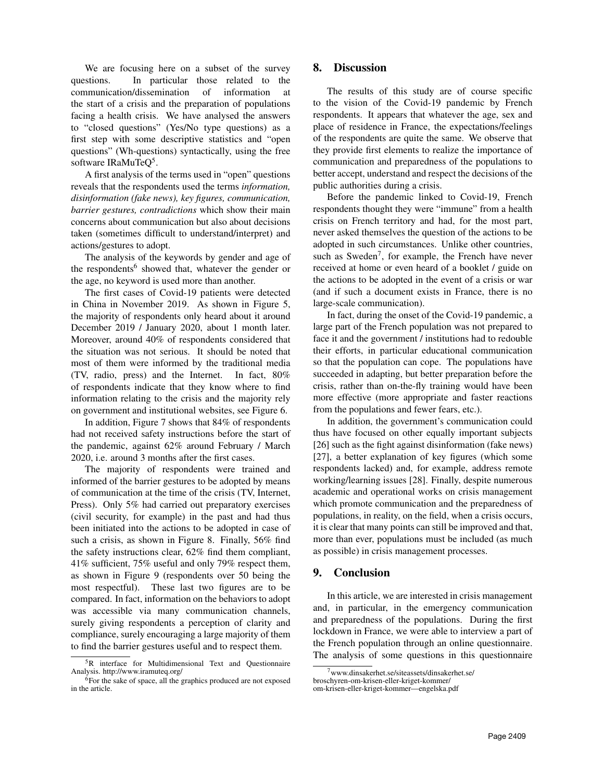We are focusing here on a subset of the survey questions. In particular those related to the communication/dissemination of information at the start of a crisis and the preparation of populations facing a health crisis. We have analysed the answers to "closed questions" (Yes/No type questions) as a first step with some descriptive statistics and "open questions" (Wh-questions) syntactically, using the free software IRaMuTeQ<sup>5</sup>.

A first analysis of the terms used in "open" questions reveals that the respondents used the terms *information, disinformation (fake news), key figures, communication, barrier gestures, contradictions* which show their main concerns about communication but also about decisions taken (sometimes difficult to understand/interpret) and actions/gestures to adopt.

The analysis of the keywords by gender and age of the respondents<sup>6</sup> showed that, whatever the gender or the age, no keyword is used more than another.

The first cases of Covid-19 patients were detected in China in November 2019. As shown in Figure 5, the majority of respondents only heard about it around December 2019 / January 2020, about 1 month later. Moreover, around 40% of respondents considered that the situation was not serious. It should be noted that most of them were informed by the traditional media (TV, radio, press) and the Internet. In fact, 80% of respondents indicate that they know where to find information relating to the crisis and the majority rely on government and institutional websites, see Figure 6.

In addition, Figure 7 shows that 84% of respondents had not received safety instructions before the start of the pandemic, against 62% around February / March 2020, i.e. around 3 months after the first cases.

The majority of respondents were trained and informed of the barrier gestures to be adopted by means of communication at the time of the crisis (TV, Internet, Press). Only 5% had carried out preparatory exercises (civil security, for example) in the past and had thus been initiated into the actions to be adopted in case of such a crisis, as shown in Figure 8. Finally, 56% find the safety instructions clear, 62% find them compliant, 41% sufficient, 75% useful and only 79% respect them, as shown in Figure 9 (respondents over 50 being the most respectful). These last two figures are to be compared. In fact, information on the behaviors to adopt was accessible via many communication channels, surely giving respondents a perception of clarity and compliance, surely encouraging a large majority of them to find the barrier gestures useful and to respect them.

### 8. Discussion

The results of this study are of course specific to the vision of the Covid-19 pandemic by French respondents. It appears that whatever the age, sex and place of residence in France, the expectations/feelings of the respondents are quite the same. We observe that they provide first elements to realize the importance of communication and preparedness of the populations to better accept, understand and respect the decisions of the public authorities during a crisis.

Before the pandemic linked to Covid-19, French respondents thought they were "immune" from a health crisis on French territory and had, for the most part, never asked themselves the question of the actions to be adopted in such circumstances. Unlike other countries, such as Sweden<sup>7</sup>, for example, the French have never received at home or even heard of a booklet / guide on the actions to be adopted in the event of a crisis or war (and if such a document exists in France, there is no large-scale communication).

In fact, during the onset of the Covid-19 pandemic, a large part of the French population was not prepared to face it and the government / institutions had to redouble their efforts, in particular educational communication so that the population can cope. The populations have succeeded in adapting, but better preparation before the crisis, rather than on-the-fly training would have been more effective (more appropriate and faster reactions from the populations and fewer fears, etc.).

In addition, the government's communication could thus have focused on other equally important subjects [26] such as the fight against disinformation (fake news) [27], a better explanation of key figures (which some respondents lacked) and, for example, address remote working/learning issues [28]. Finally, despite numerous academic and operational works on crisis management which promote communication and the preparedness of populations, in reality, on the field, when a crisis occurs, it is clear that many points can still be improved and that, more than ever, populations must be included (as much as possible) in crisis management processes.

### 9. Conclusion

In this article, we are interested in crisis management and, in particular, in the emergency communication and preparedness of the populations. During the first lockdown in France, we were able to interview a part of the French population through an online questionnaire. The analysis of some questions in this questionnaire

<sup>&</sup>lt;sup>5</sup>R interface for Multidimensional Text and Questionnaire Analysis. http://www.iramuteq.org/

 $6$ For the sake of space, all the graphics produced are not exposed in the article.

<sup>7</sup>www.dinsakerhet.se/siteassets/dinsakerhet.se/

broschyren-om-krisen-eller-kriget-kommer/

om-krisen-eller-kriget-kommer—engelska.pdf